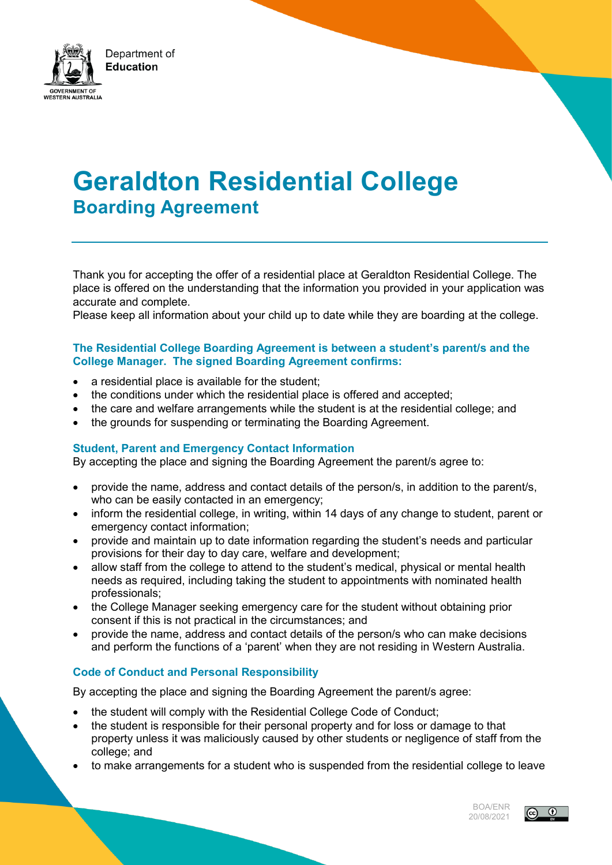

# **Geraldton Residential College Boarding Agreement**

Thank you for accepting the offer of a residential place at Geraldton Residential College. The place is offered on the understanding that the information you provided in your application was accurate and complete.

Please keep all information about your child up to date while they are boarding at the college.

### **The Residential College Boarding Agreement is between a student's parent/s and the College Manager. The signed Boarding Agreement confirms:**

- a residential place is available for the student;
- the conditions under which the residential place is offered and accepted;
- the care and welfare arrangements while the student is at the residential college; and
- the grounds for suspending or terminating the Boarding Agreement.

### **Student, Parent and Emergency Contact Information**

By accepting the place and signing the Boarding Agreement the parent/s agree to:

- provide the name, address and contact details of the person/s, in addition to the parent/s, who can be easily contacted in an emergency;
- inform the residential college, in writing, within 14 days of any change to student, parent or emergency contact information;
- provide and maintain up to date information regarding the student's needs and particular provisions for their day to day care, welfare and development;
- allow staff from the college to attend to the student's medical, physical or mental health needs as required, including taking the student to appointments with nominated health professionals;
- the College Manager seeking emergency care for the student without obtaining prior consent if this is not practical in the circumstances; and
- provide the name, address and contact details of the person/s who can make decisions and perform the functions of a 'parent' when they are not residing in Western Australia.

### **Code of Conduct and Personal Responsibility**

By accepting the place and signing the Boarding Agreement the parent/s agree:

- the student will comply with the Residential College Code of Conduct;
- the student is responsible for their personal property and for loss or damage to that property unless it was maliciously caused by other students or negligence of staff from the college; and
- to make arrangements for a student who is suspended from the residential college to leave

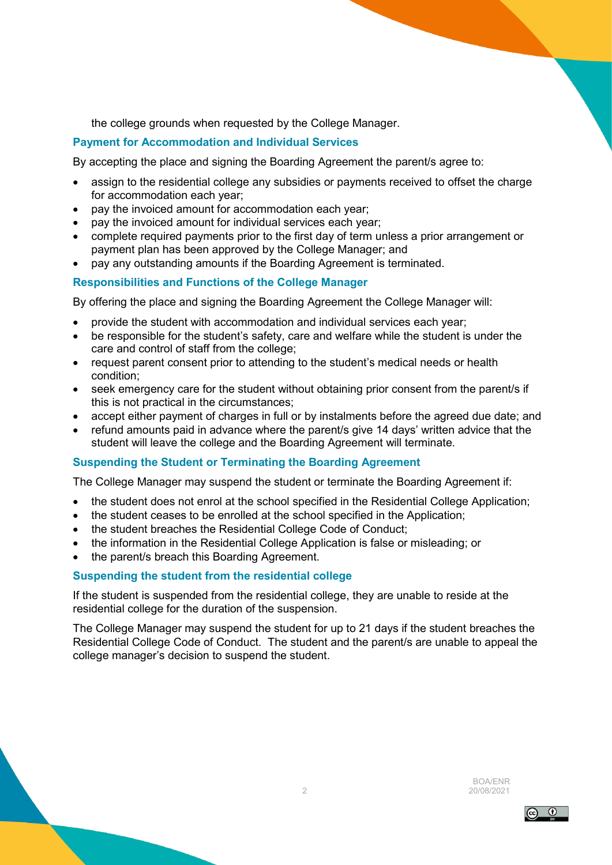the college grounds when requested by the College Manager.

## **Payment for Accommodation and Individual Services**

By accepting the place and signing the Boarding Agreement the parent/s agree to:

- assign to the residential college any subsidies or payments received to offset the charge for accommodation each year;
- pay the invoiced amount for accommodation each year;
- pay the invoiced amount for individual services each year;
- complete required payments prior to the first day of term unless a prior arrangement or payment plan has been approved by the College Manager; and
- pay any outstanding amounts if the Boarding Agreement is terminated.

## **Responsibilities and Functions of the College Manager**

By offering the place and signing the Boarding Agreement the College Manager will:

- provide the student with accommodation and individual services each year;
- be responsible for the student's safety, care and welfare while the student is under the care and control of staff from the college;
- request parent consent prior to attending to the student's medical needs or health condition;
- seek emergency care for the student without obtaining prior consent from the parent/s if this is not practical in the circumstances;
- accept either payment of charges in full or by instalments before the agreed due date; and
- refund amounts paid in advance where the parent/s give 14 days' written advice that the student will leave the college and the Boarding Agreement will terminate.

### **Suspending the Student or Terminating the Boarding Agreement**

The College Manager may suspend the student or terminate the Boarding Agreement if:

- the student does not enrol at the school specified in the Residential College Application;
- the student ceases to be enrolled at the school specified in the Application:
- the student breaches the Residential College Code of Conduct;
- the information in the Residential College Application is false or misleading; or
- the parent/s breach this Boarding Agreement.

### **Suspending the student from the residential college**

If the student is suspended from the residential college, they are unable to reside at the residential college for the duration of the suspension.

The College Manager may suspend the student for up to 21 days if the student breaches the Residential College Code of Conduct. The student and the parent/s are unable to appeal the college manager's decision to suspend the student.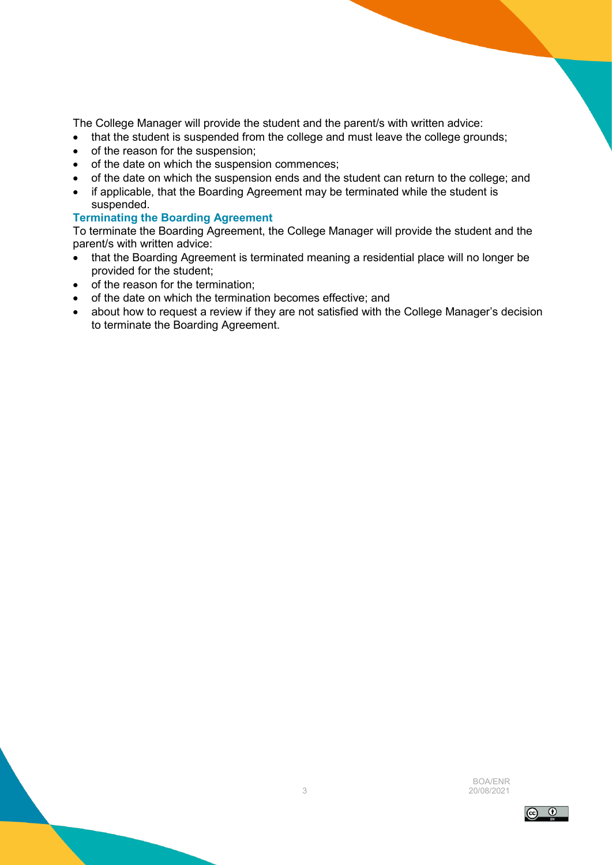The College Manager will provide the student and the parent/s with written advice:

- that the student is suspended from the college and must leave the college grounds;
- of the reason for the suspension;
- of the date on which the suspension commences;
- of the date on which the suspension ends and the student can return to the college; and
- if applicable, that the Boarding Agreement may be terminated while the student is suspended.

### **Terminating the Boarding Agreement**

To terminate the Boarding Agreement, the College Manager will provide the student and the parent/s with written advice:

- that the Boarding Agreement is terminated meaning a residential place will no longer be provided for the student;
- of the reason for the termination;
- of the date on which the termination becomes effective; and
- about how to request a review if they are not satisfied with the College Manager's decision to terminate the Boarding Agreement.